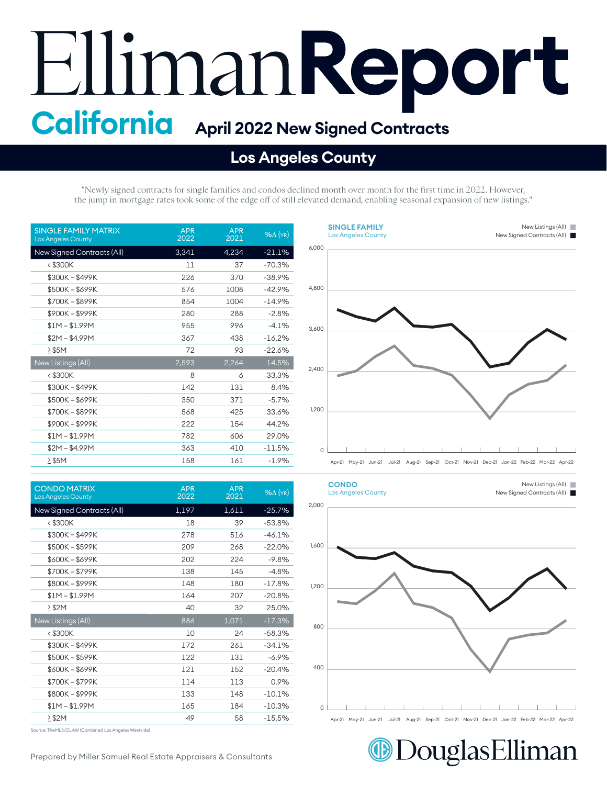## **Report California April 2022 New Signed Contracts**

## **Los Angeles County**

"Newly signed contracts for single families and condos declined month over month for the first time in 2022. However, the jump in mortgage rates took some of the edge off of still elevated demand, enabling seasonal expansion of new listings."

| <b>SINGLE FAMILY MATRIX</b><br><b>Los Angeles County</b> | <b>APR</b><br>2022 | <b>APR</b><br>2021 | $%$ $\Delta$ (YR) |
|----------------------------------------------------------|--------------------|--------------------|-------------------|
| New Signed Contracts (All)                               | 3,341              | 4,234              | $-21.1%$          |
| $<$ \$300K                                               | 11                 | 37                 | $-70.3%$          |
| \$300K - \$499K                                          | 226                | 370                | $-38.9%$          |
| \$500K - \$699K                                          | 576                | 1008               | $-42.9%$          |
| \$700K - \$899K                                          | 854                | 1004               | $-14.9%$          |
| \$900K-\$999K                                            | 280                | 288                | $-2.8%$           |
| $$1M - $1.99M$                                           | 955                | 996                | $-4.1%$           |
| $$2M - $4.99M$                                           | 367                | 438                | $-16.2%$          |
| $>$ \$5M                                                 | 72                 | 93                 | $-22.6%$          |
| New Listings (All)                                       | 2,593              | 2,264              | 14.5%             |
| < \$300K                                                 | 8                  | 6                  | 33.3%             |
| \$300K - \$499K                                          | 142                | 131                | 8.4%              |
| \$500K - \$699K                                          | 350                | 371                | $-5.7%$           |
| \$700K-\$899K                                            | 568                | 425                | 33.6%             |
| \$900K-\$999K                                            | 222                | 154                | 44.2%             |
| $$1M - $1.99M$                                           | 782                | 606                | 29.0%             |
| $$2M - $4.99M$                                           | 363                | 410                | $-11.5\%$         |
| $>$ \$5M                                                 | 158                | 161                | $-1.9%$           |

| <b>CONDO MATRIX</b><br><b>Los Angeles County</b> | <b>APR</b><br>2022 | <b>APR</b><br>2021 | $%$ $\Delta$ (YR) |
|--------------------------------------------------|--------------------|--------------------|-------------------|
| New Signed Contracts (All)                       | 1,197              | 1,611              | $-25.7%$          |
| $<$ \$300K                                       | 18                 | 39                 | $-53.8%$          |
| \$300K-\$499K                                    | 278                | 516                | $-46.1%$          |
| \$500K - \$599K                                  | 209                | 268                | $-22.0%$          |
| \$600K-\$699K                                    | 202                | 224                | $-9.8%$           |
| \$700K-\$799K                                    | 138                | 145                | $-4.8%$           |
| \$800K-\$999K                                    | 148                | 180                | $-17.8%$          |
| $$1M - $1.99M$                                   | 164                | 207                | $-20.8%$          |
| $>$ \$2M                                         | 40                 | 32                 | 25.0%             |
| New Listings (All)                               | 886                | 1,071              | $-17.3%$          |
| $<$ \$300 $K$                                    | 10                 | 24                 | $-58.3%$          |
| \$300K-\$499K                                    | 172                | 261                | $-34.1%$          |
| \$500K - \$599K                                  | 122                | 131                | $-6.9%$           |
| \$600K-\$699K                                    | 121                | 152                | $-20.4%$          |
| \$700K-\$799K                                    | 114                | 113                | 0.9%              |
| \$800K-\$999K                                    | 133                | 148                | $-10.1%$          |
| $$1M - $1.99M$                                   | 165                | 184                | $-10.3%$          |
| $\geq$ \$2M                                      | 49                 | 58                 | $-15.5%$          |

Source: TheMLS/CLAW (Combined Los Angeles Westside)





Apr-21 May-21 Jun-21 Jul-21 Aug-21 Sep-21 Oct-21 Nov-21 Dec-21 Jan-22 Feb-22 Mar-22 Apr-22 Apr-21 May-21 Jun-21 Jul-21 Aug-21 Sep-21 Oct-21 Nov-21 Dec-21 Jan-22 Feb-22 Mar-22 Apr-22



Prepared by Miller Samuel Real Estate Appraisers & Consultants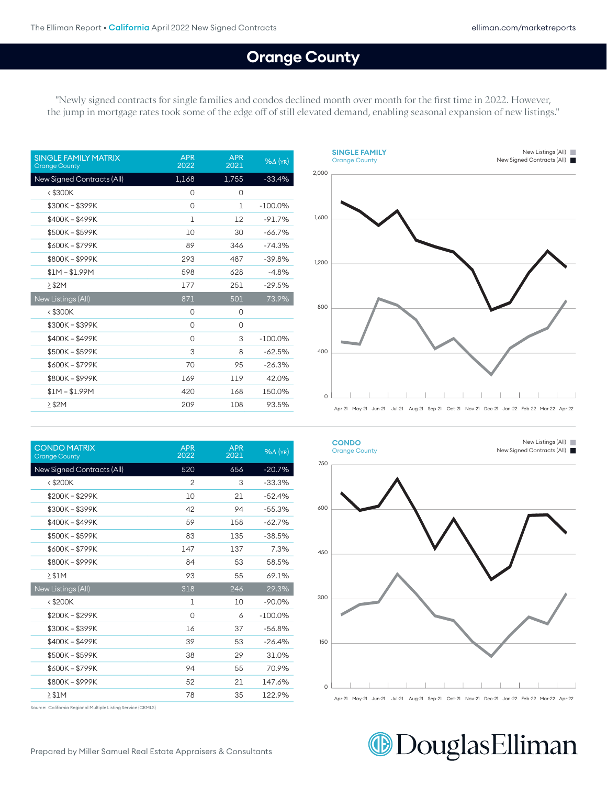## **Orange County**

400

"Newly signed contracts for single families and condos declined month over month for the first time in 2022. However, the jump in mortgage rates took some of the edge off of still elevated demand, enabling seasonal expansion of new listings."

| <b>APR</b><br>2022 | <b>APR</b><br>2021 | $%$ $\Delta$ (YR) |
|--------------------|--------------------|-------------------|
| 1,168              | 1,755              | $-33.4%$          |
| 0                  | 0                  |                   |
| 0                  | 1                  | $-100.0\%$        |
| 1                  | 12                 | $-91.7%$          |
| 10                 | 30                 | $-66.7%$          |
| 89                 | 346                | $-74.3%$          |
| 293                | 487                | $-39.8%$          |
| 598                | 628                | $-4.8%$           |
| 177                | 251                | $-29.5%$          |
| 871                | 501                | 73.9%             |
| 0                  | 0                  |                   |
| 0                  | 0                  |                   |
| 0                  | 3                  | $-100.0\%$        |
| 3                  | 8                  | $-62.5%$          |
| 70                 | 95                 | $-26.3%$          |
| 169                | 119                | 42.0%             |
| 420                | 168                | 150.0%            |
| 209                | 108                | 93.5%             |
|                    |                    |                   |



| <b>CONDO MATRIX</b><br><b>Orange County</b> | <b>APR</b><br>2022 | <b>APR</b><br>2021 | $%$ $\Delta$ (YR) |
|---------------------------------------------|--------------------|--------------------|-------------------|
| New Signed Contracts (All)                  | 520                | 656                | $-20.7%$          |
| $<$ \$200 $K$                               | 2                  | З                  | $-33.3%$          |
| \$200K-\$299K                               | 10                 | 21                 | $-52.4%$          |
| \$300K - \$399K                             | 42                 | 94                 | $-55.3%$          |
| \$400K - \$499K                             | 59                 | 158                | $-62.7%$          |
| \$500K - \$599K                             | 83                 | 135                | $-38.5%$          |
| \$600K - \$799K                             | 147                | 137                | 7.3%              |
| \$800K-\$999K                               | 84                 | 53                 | 58.5%             |
| > \$1M                                      | 93                 | 55                 | 69.1%             |
| New Listings (All)                          | 318                | 246                | 29.3%             |
| $<$ \$200K                                  | 1                  | 10                 | $-90.0\%$         |
| \$200K - \$299K                             | 0                  | 6                  | $-100.0\%$        |
| \$300K - \$399K                             | 16                 | 37                 | $-56.8%$          |
| \$400K - \$499K                             | 39                 | 53                 | $-26.4%$          |
| \$500K - \$599K                             | 38                 | 29                 | 31.0%             |
| \$600K - \$799K                             | 94                 | 55                 | 70.9%             |
| \$800K-\$999K                               | 52                 | 21                 | 147.6%            |
| > \$1M                                      | 78                 | 35                 | 122.9%            |



Source: California Regional Multiple Listing Service (CRMLS)